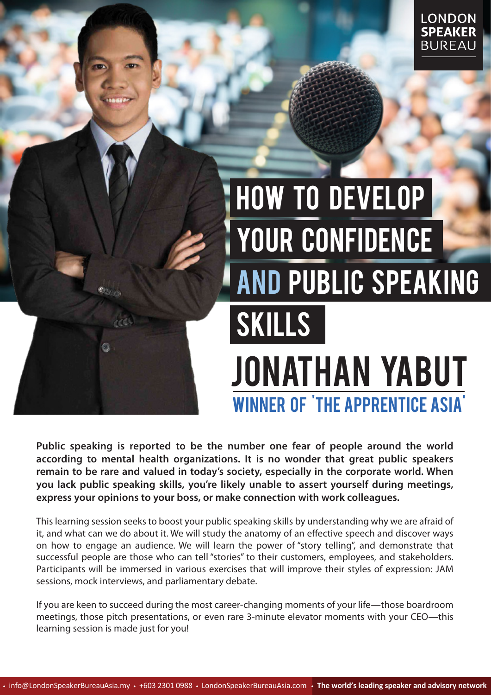## How to Develop YOUR CONFIDENCE and Public Speaking **SKILLS** jonathan Yabut Winner of 'the apprentice asia'

**Public speaking is reported to be the number one fear of people around the world according to mental health organizations. It is no wonder that great public speakers remain to be rare and valued in today's society, especially in the corporate world. When you lack public speaking skills, you're likely unable to assert yourself during meetings, express your opinions to your boss, or make connection with work colleagues.** 

This learning session seeks to boost your public speaking skills by understanding why we are afraid of it, and what can we do about it. We will study the anatomy of an effective speech and discover ways on how to engage an audience. We will learn the power of "story telling", and demonstrate that successful people are those who can tell "stories" to their customers, employees, and stakeholders. Participants will be immersed in various exercises that will improve their styles of expression: JAM sessions, mock interviews, and parliamentary debate.

If you are keen to succeed during the most career-changing moments of your life—those boardroom meetings, those pitch presentations, or even rare 3-minute elevator moments with your CEO—this learning session is made just for you!